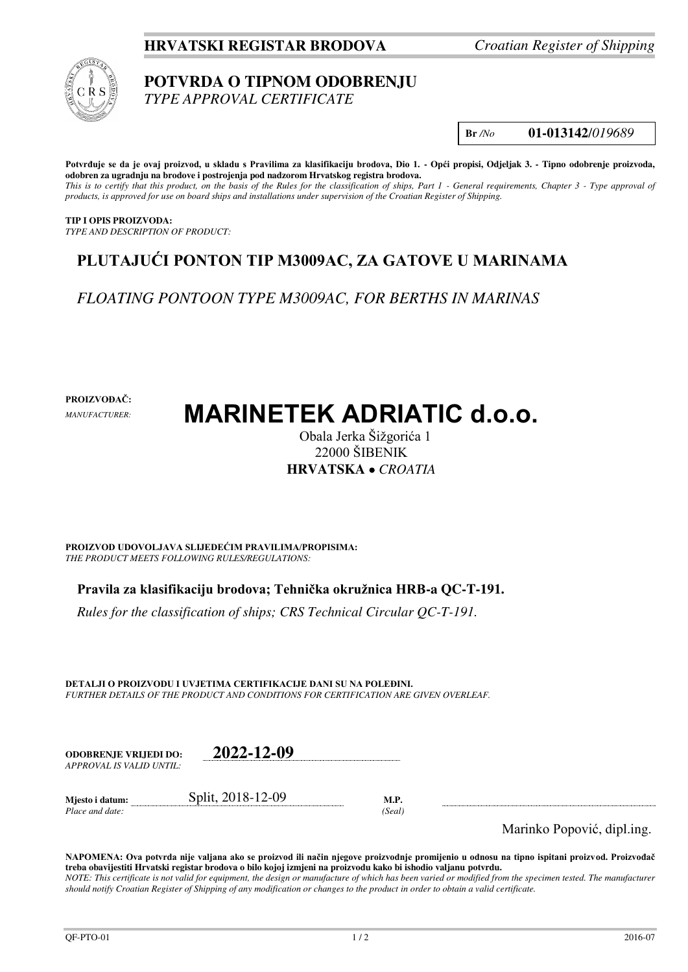### **HRVATSKI REGISTAR BRODOVA** *Croatian Register of Shipping*



# **POTVRDA O TIPNOM ODOBRENJU**

*TYPE APPROVAL CERTIFICATE* 

**Br** */No* **01-013142**/*019689*

**Potvrđuje se da je ovaj proizvod, u skladu s Pravilima za klasifikaciju brodova, Dio 1. - Opći propisi, Odjeljak 3. - Tipno odobrenje proizvoda, odobren za ugradnju na brodove i postrojenja pod nadzorom Hrvatskog registra brodova.**  *This is to certify that this product, on the basis of the Rules for the classification of ships, Part 1 - General requirements, Chapter 3 - Type approval of products, is approved for use on board ships and installations under supervision of the Croatian Register of Shipping.* 

**TIP I OPIS PROIZVODA:** *TYPE AND DESCRIPTION OF PRODUCT:* 

## **PLUTAJUĆI PONTON TIP M3009AC, ZA GATOVE U MARINAMA**

*FLOATING PONTOON TYPE M3009AC, FOR BERTHS IN MARINAS* 

**PROIZVOĐAČ:**

*MANUFACTURER:*

# **MARINETEK ADRIATIC d.o.o.**

Obala Jerka Šižgorića 1 22000 ŠIBENIK **HRVATSKA**  *CROATIA*

**PROIZVOD UDOVOLJAVA SLIJEDEĆIM PRAVILIMA/PROPISIMA:** *THE PRODUCT MEETS FOLLOWING RULES/REGULATIONS:* 

**Pravila za klasifikaciju brodova; Tehnička okružnica HRB-a QC-T-191.** 

*Rules for the classification of ships; CRS Technical Circular QC-T-191.*

**DETALJI O PROIZVODU I UVJETIMA CERTIFIKACIJE DANI SU NA POLEĐINI.** *FURTHER DETAILS OF THE PRODUCT AND CONDITIONS FOR CERTIFICATION ARE GIVEN OVERLEAF.* 

| <b>ODOBRENJE VRLIEDI DO:</b> | 2022-12-09        |      |
|------------------------------|-------------------|------|
| APPROVAL IS VALID UNTIL:     |                   |      |
| Mjesto i datum:              | Split, 2018-12-09 | M.P. |

*Place and date: (Seal)* 

Marinko Popović, dipl.ing.

**NAPOMENA: Ova potvrda nije valjana ako se proizvod ili način njegove proizvodnje promijenio u odnosu na tipno ispitani proizvod. Proizvođač treba obavijestiti Hrvatski registar brodova o bilo kojoj izmjeni na proizvodu kako bi ishodio valjanu potvrdu.**  *NOTE: This certificate is not valid for equipment, the design or manufacture of which has been varied or modified from the specimen tested. The manufacturer should notify Croatian Register of Shipping of any modification or changes to the product in order to obtain a valid certificate.*